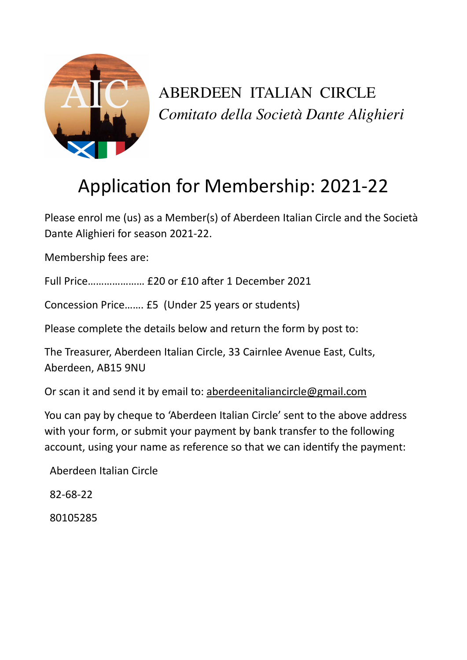

ABERDEEN ITALIAN CIRCLE *Comitato della Società Dante Alighieri*

## Application for Membership: 2021-22

Please enrol me (us) as a Member(s) of Aberdeen Italian Circle and the Società Dante Alighieri for season 2021-22.

Membership fees are:

Full Price………………… £20 or £10 after 1 December 2021

Concession Price……. £5 (Under 25 years or students)

Please complete the details below and return the form by post to:

The Treasurer, Aberdeen Italian Circle, 33 Cairnlee Avenue East, Cults, Aberdeen, AB15 9NU

Or scan it and send it by email to: [aberdeenitaliancircle@gmail.com](mailto:aberdeenitaliancircle@gmail.com)

You can pay by cheque to 'Aberdeen Italian Circle' sent to the above address with your form, or submit your payment by bank transfer to the following account, using your name as reference so that we can identify the payment:

Aberdeen Italian Circle

82-68-22

80105285